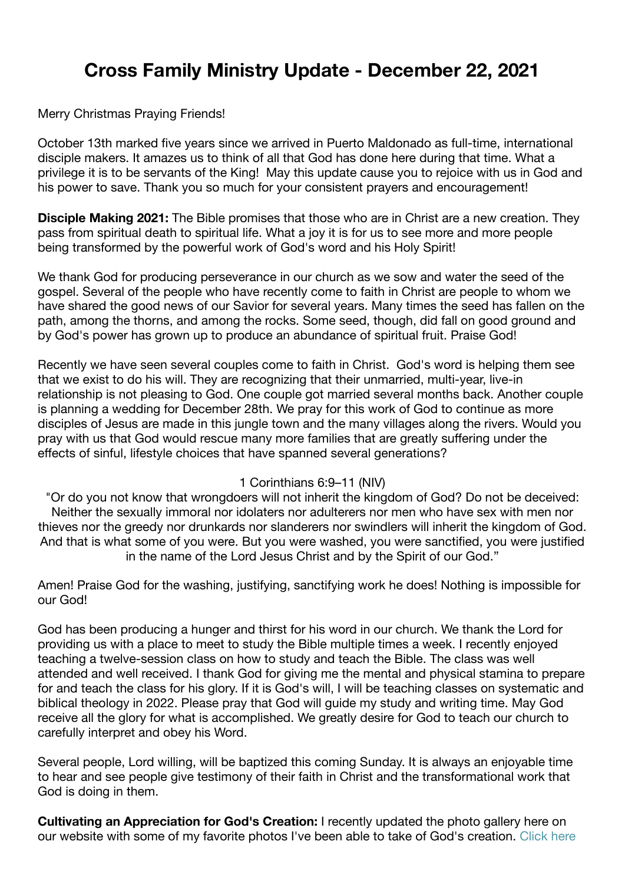## **Cross Family Ministry Update - December 22, 2021**

## Merry Christmas Praying Friends!

October 13th marked five years since we arrived in Puerto Maldonado as full-time, international disciple makers. It amazes us to think of all that God has done here during that time. What a privilege it is to be servants of the King! May this update cause you to rejoice with us in God and his power to save. Thank you so much for your consistent prayers and encouragement!

**Disciple Making 2021:** The Bible promises that those who are in Christ are a new creation. They pass from spiritual death to spiritual life. What a joy it is for us to see more and more people being transformed by the powerful work of God's word and his Holy Spirit!

We thank God for producing perseverance in our church as we sow and water the seed of the gospel. Several of the people who have recently come to faith in Christ are people to whom we have shared the good news of our Savior for several years. Many times the seed has fallen on the path, among the thorns, and among the rocks. Some seed, though, did fall on good ground and by God's power has grown up to produce an abundance of spiritual fruit. Praise God!

Recently we have seen several couples come to faith in Christ. God's word is helping them see that we exist to do his will. They are recognizing that their unmarried, multi-year, live-in relationship is not pleasing to God. One couple got married several months back. Another couple is planning a wedding for December 28th. We pray for this work of God to continue as more disciples of Jesus are made in this jungle town and the many villages along the rivers. Would you pray with us that God would rescue many more families that are greatly suffering under the effects of sinful, lifestyle choices that have spanned several generations?

## 1 Corinthians 6:9–11 (NIV)

"Or do you not know that wrongdoers will not inherit the kingdom of God? Do not be deceived: Neither the sexually immoral nor idolaters nor adulterers nor men who have sex with men nor thieves nor the greedy nor drunkards nor slanderers nor swindlers will inherit the kingdom of God. And that is what some of you were. But you were washed, you were sanctified, you were justified in the name of the Lord Jesus Christ and by the Spirit of our God."

Amen! Praise God for the washing, justifying, sanctifying work he does! Nothing is impossible for our God!

God has been producing a hunger and thirst for his word in our church. We thank the Lord for providing us with a place to meet to study the Bible multiple times a week. I recently enjoyed teaching a twelve-session class on how to study and teach the Bible. The class was well attended and well received. I thank God for giving me the mental and physical stamina to prepare for and teach the class for his glory. If it is God's will, I will be teaching classes on systematic and biblical theology in 2022. Please pray that God will guide my study and writing time. May God receive all the glory for what is accomplished. We greatly desire for God to teach our church to carefully interpret and obey his Word.

Several people, Lord willing, will be baptized this coming Sunday. It is always an enjoyable time to hear and see people give testimony of their faith in Christ and the transformational work that God is doing in them.

**Cultivating an Appreciation for God's Creation:** I recently updated the photo gallery here on our website with some of my favorite photos I've been able to take of God's creation. [Click here](http://weebly-link/782320659601620259)